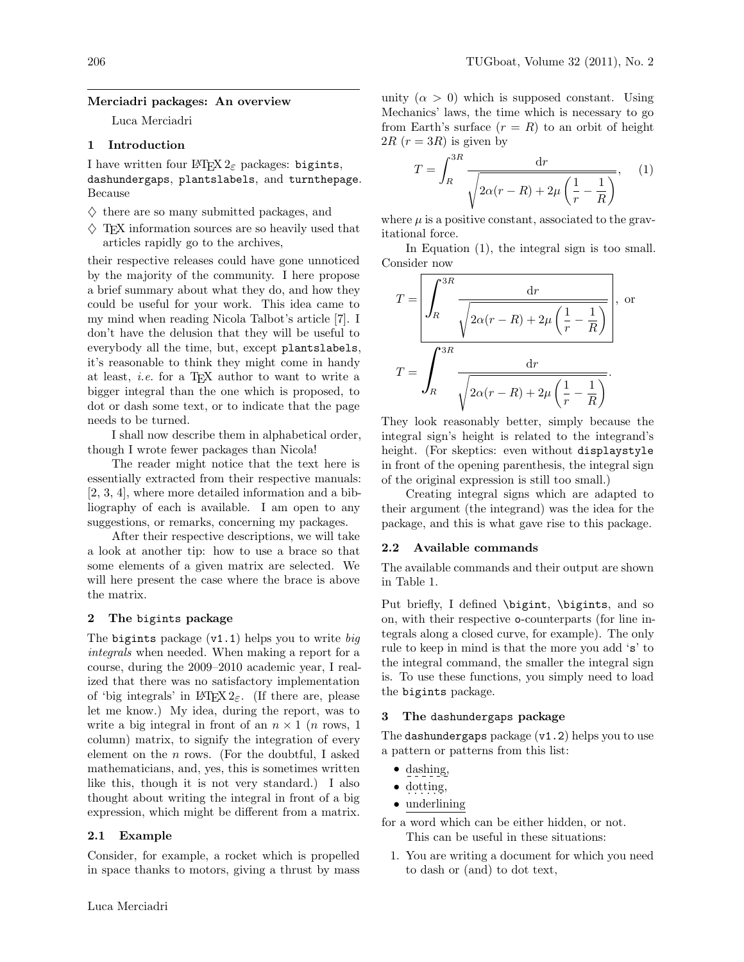#### Merciadri packages: An overview

Luca Merciadri

## 1 Introduction

I have written four LAT<sub>E</sub>X  $2\varepsilon$  packages: bigints, dashundergaps, plantslabels, and turnthepage. Because

- $\diamondsuit$  there are so many submitted packages, and
- $\Diamond$  T<sub>F</sub>X information sources are so heavily used that articles rapidly go to the archives,

their respective releases could have gone unnoticed by the majority of the community. I here propose a brief summary about what they do, and how they could be useful for your work. This idea came to my mind when reading Nicola Talbot's article [\[7\]](#page-4-0). I don't have the delusion that they will be useful to everybody all the time, but, except plantslabels, it's reasonable to think they might come in handy at least, i.e. for a TEX author to want to write a bigger integral than the one which is proposed, to dot or dash some text, or to indicate that the page needs to be turned.

I shall now describe them in alphabetical order, though I wrote fewer packages than Nicola!

The reader might notice that the text here is essentially extracted from their respective manuals: [\[2,](#page-4-1) [3,](#page-4-2) [4\]](#page-4-3), where more detailed information and a bibliography of each is available. I am open to any suggestions, or remarks, concerning my packages.

After their respective descriptions, we will take a look at another tip: how to use a brace so that some elements of a given matrix are selected. We will here present the case where the brace is above the matrix.

### 2 The bigints package

The bigints package  $(v1.1)$  helps you to write big integrals when needed. When making a report for a course, during the 2009–2010 academic year, I realized that there was no satisfactory implementation of 'big integrals' in  $\mathbb{H} \mathbb{F} \times \mathbb{Z}_{\epsilon}$ . (If there are, please let me know.) My idea, during the report, was to write a big integral in front of an  $n \times 1$  (*n* rows, 1) column) matrix, to signify the integration of every element on the  $n$  rows. (For the doubtful, I asked mathematicians, and, yes, this is sometimes written like this, though it is not very standard.) I also thought about writing the integral in front of a big expression, which might be different from a matrix.

#### 2.1 Example

Consider, for example, a rocket which is propelled in space thanks to motors, giving a thrust by mass unity  $(\alpha > 0)$  which is supposed constant. Using Mechanics' laws, the time which is necessary to go from Earth's surface  $(r = R)$  to an orbit of height  $2R$   $(r = 3R)$  is given by

<span id="page-0-0"></span>
$$
T = \int_{R}^{3R} \frac{\mathrm{d}r}{\sqrt{2\alpha(r-R) + 2\mu\left(\frac{1}{r} - \frac{1}{R}\right)}},\quad(1)
$$

where  $\mu$  is a positive constant, associated to the gravitational force.

In Equation [\(1\)](#page-0-0), the integral sign is too small. Consider now

$$
T = \left| \int_{R}^{3R} \frac{\mathrm{d}r}{\sqrt{2\alpha(r-R) + 2\mu \left(\frac{1}{r} - \frac{1}{R}\right)}}\right|, \text{ or}
$$

$$
T = \int_{R}^{3R} \frac{\mathrm{d}r}{\sqrt{2\alpha(r-R) + 2\mu \left(\frac{1}{r} - \frac{1}{R}\right)}}.
$$

They look reasonably better, simply because the integral sign's height is related to the integrand's height. (For skeptics: even without displaystyle in front of the opening parenthesis, the integral sign of the original expression is still too small.)

Creating integral signs which are adapted to their argument (the integrand) was the idea for the package, and this is what gave rise to this package.

### 2.2 Available commands

The available commands and their output are shown in Table [1.](#page-1-0)

Put briefly, I defined \bigint, \bigints, and so on, with their respective o-counterparts (for line integrals along a closed curve, for example). The only rule to keep in mind is that the more you add 's' to the integral command, the smaller the integral sign is. To use these functions, you simply need to load the bigints package.

#### 3 The dashundergaps package

The dashundergaps package (v1.2) helps you to use a pattern or patterns from this list:

- dashing,
- $\bullet$  dotting,
- underlining

for a word which can be either hidden, or not. This can be useful in these situations:

1. You are writing a document for which you need to dash or (and) to dot text,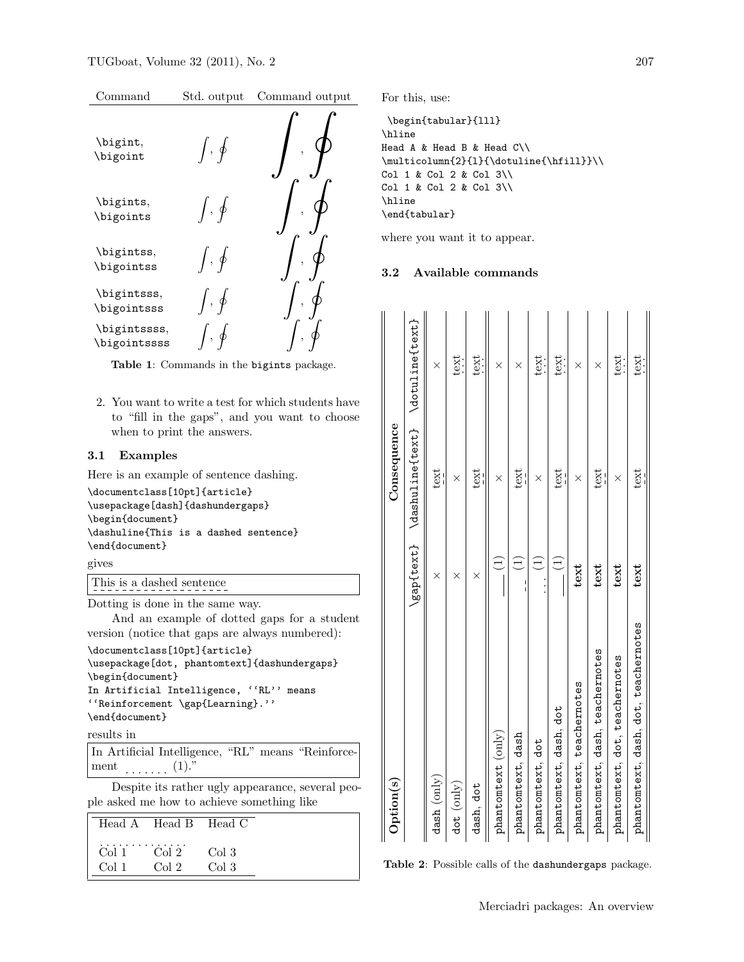| Command | Std. output | Command output |
|---------|-------------|----------------|
|---------|-------------|----------------|



<span id="page-1-0"></span>Table 1: Commands in the bigints package.

2. You want to write a test for which students have to "fill in the gaps", and you want to choose when to print the answers.

### 3.1 Examples

Here is an example of sentence dashing.

\documentclass[10pt]{article} \usepackage[dash]{dashundergaps} \begin{document} \dashuline{This is a dashed sentence} \end{document}

gives

### This is a dashed sentence

Dotting is done in the same way.

And an example of dotted gaps for a student version (notice that gaps are always numbered):

\documentclass[10pt]{article} \usepackage[dot, phantomtext]{dashundergaps} \begin{document} In Artificial Intelligence, ''RL'' means ''Reinforcement \gap{Learning}.''

\end{document}

```
results in
```
In Artificial Intelligence, "RL" means "Reinforcement . . . . . . . (1)."

Despite its rather ugly appearance, several people asked me how to achieve something like

|       | Head A Head B Head C    |               |  |
|-------|-------------------------|---------------|--|
| Col 1 | $Col 1$ $Col 2$<br>Co12 | Co13<br>Col 3 |  |

For this, use:

```
\begin{tabular}{lll}
\hline
Head A & Head B & Head C \setminus\mathcal{2}{1}({\dot \text{hfill}}\)Col 1 & Col 2 & Col 3\\
Col 1 & Col 2 & Col 3\\
\hline
\end{tabular}
```
where you want it to appear.

### 3.2 Available commands

| $q_{\rm ption(s)}$                   |                 | Consequence                                 |          |
|--------------------------------------|-----------------|---------------------------------------------|----------|
|                                      |                 | \gap{text} \dashuline{text} \dotuline{text} |          |
| dash (only)                          | ×               | text                                        | $\times$ |
| dot (only)                           | ×               | ×                                           | text     |
| dash, dot                            | ×               | text                                        | text     |
| $\texttt{phanton}(\texttt{only})$    | Ξ               | $\times$                                    | ×        |
| phantomtext, dash                    |                 | text                                        | ×        |
| phantomtext, dot                     | Ξ               | ×                                           | text     |
| phantomtext, dash, dot               | $\widehat{\Xi}$ | text                                        | text     |
| phantomtext, teachernotes            | text            | ×                                           | ×        |
| phantomtext, dash, teachernotes      | text            | text                                        | ×        |
| phantomtext, dot, teachernotes       | text            | ×                                           | text     |
| phantomtext, dash, dot, teachernotes | text            | text                                        | text     |
|                                      |                 |                                             |          |

<span id="page-1-1"></span>Table 2: Possible calls of the dashundergaps package.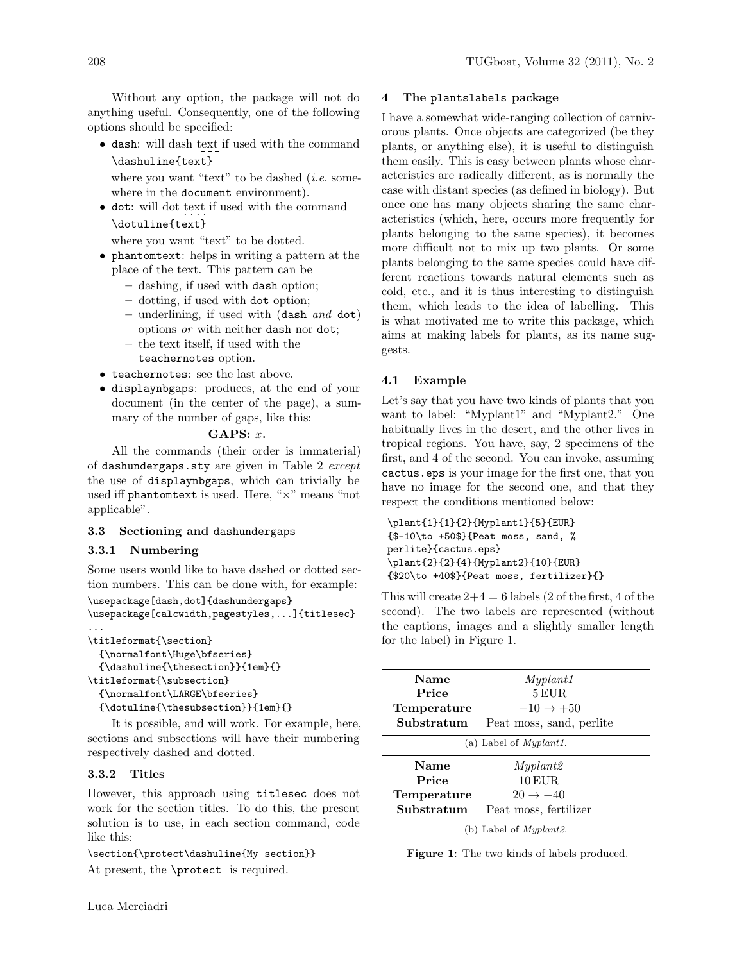Without any option, the package will not do anything useful. Consequently, one of the following options should be specified:

• dash: will dash text if used with the command \dashuline{text}

where you want "text" to be dashed  $(i.e.$  somewhere in the document environment).

• dot: will dot text if used with the command \dotuline{text}

where you want "text" to be dotted.

- phantomtext: helps in writing a pattern at the place of the text. This pattern can be
	- dashing, if used with dash option;
	- dotting, if used with dot option;
	- underlining, if used with (dash and dot) options or with neither dash nor dot;
	- the text itself, if used with the teachernotes option.
- teachernotes: see the last above.
- displaynbgaps: produces, at the end of your document (in the center of the page), a summary of the number of gaps, like this:

## GAPS:  $x$ .

All the commands (their order is immaterial) of <dashundergaps.sty> are given in Table [2](#page-1-1) except the use of displaynbgaps, which can trivially be used iff phantomtext is used. Here, "×" means "not applicable".

## 3.3 Sectioning and dashundergaps

## 3.3.1 Numbering

Some users would like to have dashed or dotted section numbers. This can be done with, for example: \usepackage[dash,dot]{dashundergaps}

```
\usepackage[calcwidth,pagestyles,...]{titlesec}
...
```

```
\titleformat{\section}
  {\normalfont\Huge\bfseries}
  {\dashuline{\thesection}}{1em}{}
\titleformat{\subsection}
  {\normalfont\LARGE\bfseries}
  {\dotuline{\thesubsection}}{1em}{}
```
It is possible, and will work. For example, here, sections and subsections will have their numbering respectively dashed and dotted.

## 3.3.2 Titles

However, this approach using titlesec does not work for the section titles. To do this, the present solution is to use, in each section command, code like this:

\section{\protect\dashuline{My section}} At present, the \protect is required.

### 4 The plantslabels package

I have a somewhat wide-ranging collection of carnivorous plants. Once objects are categorized (be they plants, or anything else), it is useful to distinguish them easily. This is easy between plants whose characteristics are radically different, as is normally the case with distant species (as defined in biology). But once one has many objects sharing the same characteristics (which, here, occurs more frequently for plants belonging to the same species), it becomes more difficult not to mix up two plants. Or some plants belonging to the same species could have different reactions towards natural elements such as cold, etc., and it is thus interesting to distinguish them, which leads to the idea of labelling. This is what motivated me to write this package, which aims at making labels for plants, as its name suggests.

# 4.1 Example

Let's say that you have two kinds of plants that you want to label: "Myplant1" and "Myplant2." One habitually lives in the desert, and the other lives in tropical regions. You have, say, 2 specimens of the first, and 4 of the second. You can invoke, assuming cactus.eps is your image for the first one, that you have no image for the second one, and that they respect the conditions mentioned below:

```
\plant{1}{1}{2}{Myplant1}{5}{EUR}
{$-10\to +50$}{Peat moss, sand, %
perlite}{cactus.eps}
\plant{2}{2}{4}{Myplant2}{10}{EUR}
{$20\to +40$}{Peat moss, fertilizer}{}
```
This will create  $2+4=6$  labels (2 of the first, 4 of the second). The two labels are represented (without the captions, images and a slightly smaller length for the label) in Figure [1.](#page-2-0)

| Name                      | Myplant1                 |  |
|---------------------------|--------------------------|--|
| Price                     | 5 EUR.                   |  |
| Temperature               | $-10 \rightarrow +50$    |  |
| Substratum                | Peat moss, sand, perlite |  |
| (a) Label of $Myplant1$ . |                          |  |
| Name                      | Myplant2                 |  |
| Price                     | 10 EUR.                  |  |
| Temperature               | $20 \rightarrow +40$     |  |
| Substratum                | Peat moss, fertilizer    |  |

<span id="page-2-0"></span>(b) Label of Myplant2.

Figure 1: The two kinds of labels produced.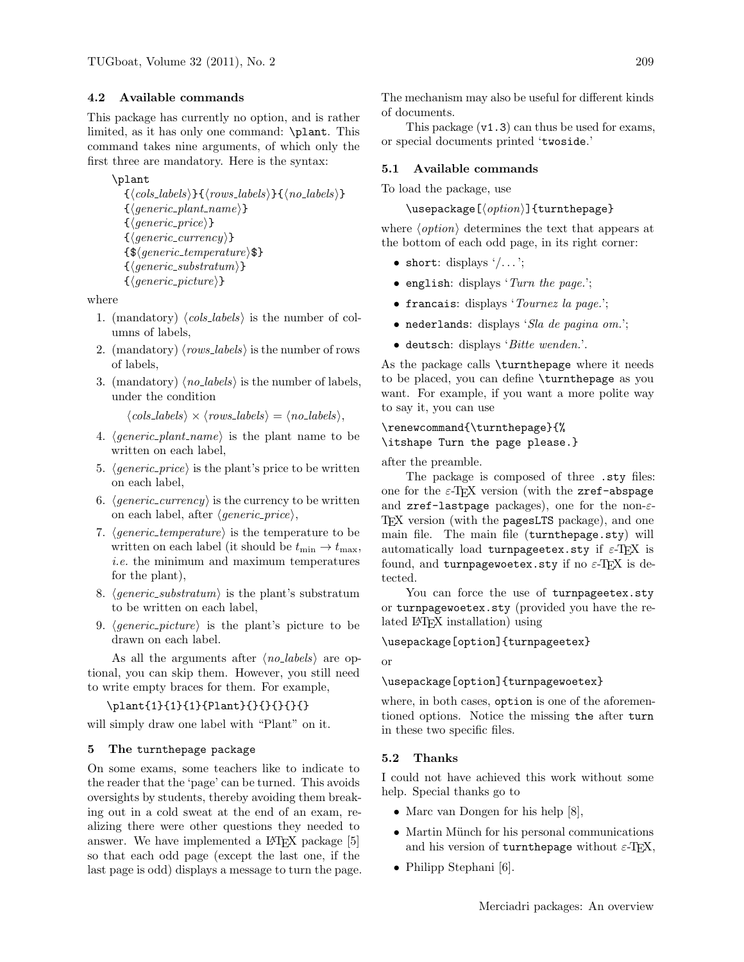# 4.2 Available commands

This package has currently no option, and is rather limited, as it has only one command: \plant. This command takes nine arguments, of which only the first three are mandatory. Here is the syntax:

## \plant

```
\{\langle \textit{cols}\rangle\}\{\langle \textit{rows}\_\textit{labels}\rangle\}\{\langle \textit{no}\_\textit{labels}\rangle\}\{\langle \text{generic\_plant\_name} \rangle\}\{\langle \text{generic\_price} \rangle\}\{\langle \text{generic\_currency} \rangle\}\{\$(generic\_temperature\$\}\{\langle generic\_substratum\rangle\}\{\langle generic\_picture\rangle\}
```
where

- 1. (mandatory)  $\langle \text{cols}_\text{i} | \text{labels} \rangle$  is the number of columns of labels,
- 2. (mandatory)  $\langle rows\_labels \rangle$  is the number of rows of labels,
- 3. (mandatory) hno labelsi is the number of labels, under the condition

 $\langle \text{cols}\rangle \times \langle \text{rows}\text{labels} \rangle = \langle \text{no}\text{_} \rangle,$ 

- 4.  $\langle \text{generic plant name} \rangle$  is the plant name to be written on each label,
- 5.  $\langle generic\_price \rangle$  is the plant's price to be written on each label,
- 6.  $\langle generic\_currency \rangle$  is the currency to be written on each label, after  $\langle \text{generic\_price} \rangle$ ,
- 7.  $\langle generic\_temperature \rangle$  is the temperature to be written on each label (it should be  $t_{\min} \rightarrow t_{\max}$ , i.e. the minimum and maximum temperatures for the plant),
- 8.  $\langle generic\_substratum \rangle$  is the plant's substratum to be written on each label,
- 9.  $\langle generic\_picture \rangle$  is the plant's picture to be drawn on each label.

As all the arguments after  $\langle no \text{ labels} \rangle$  are optional, you can skip them. However, you still need to write empty braces for them. For example,

## \plant{1}{1}{1}{Plant}{}{}{}{}{}

will simply draw one label with "Plant" on it.

## 5 The turnthepage package

On some exams, some teachers like to indicate to the reader that the 'page' can be turned. This avoids oversights by students, thereby avoiding them breaking out in a cold sweat at the end of an exam, realizing there were other questions they needed to answer. We have implemented a L<sup>A</sup>TEX package [\[5\]](#page-4-4) so that each odd page (except the last one, if the last page is odd) displays a message to turn the page. The mechanism may also be useful for different kinds of documents.

This package  $(v1.3)$  can thus be used for exams, or special documents printed 'twoside.'

### 5.1 Available commands

To load the package, use

```
\text{user}(\text{option}) {turnthepage}
```
where  $\langle option \rangle$  determines the text that appears at the bottom of each odd page, in its right corner:

- short: displays  $\langle \ldots \rangle$ ;
- english: displays 'Turn the page.';
- francais: displays 'Tournez la page.';
- $\bullet$  nederlands: displays 'Sla de pagina om.';
- deutsch: displays 'Bitte wenden.'.

As the package calls \turnthepage where it needs to be placed, you can define \turnthepage as you want. For example, if you want a more polite way to say it, you can use

# \renewcommand{\turnthepage}{% \itshape Turn the page please.}

after the preamble.

The package is composed of three .sty files: one for the  $\varepsilon$ -T<sub>F</sub>X version (with the zref-abspage and zref-lastpage packages), one for the non-ε-TEX version (with the pagesLTS package), and one main file. The main file (turnthepage.sty) will automatically load turnpageetex.sty if  $\varepsilon$ -TEX is found, and turnpagewoetex.sty if no  $\varepsilon$ -TEX is detected.

You can force the use of turnpageetex.sty or turnpagewoetex.sty (provided you have the related L<sup>AT</sup>FX installation) using

\usepackage[option]{turnpageetex}

or

#### \usepackage[option]{turnpagewoetex}

where, in both cases, option is one of the aforementioned options. Notice the missing the after turn in these two specific files.

## 5.2 Thanks

I could not have achieved this work without some help. Special thanks go to

- Marc van Dongen for his help [\[8\]](#page-4-5),
- Martin Münch for his personal communications and his version of turnthepage without  $\varepsilon$ -TEX,
- Philipp Stephani [\[6\]](#page-4-6).